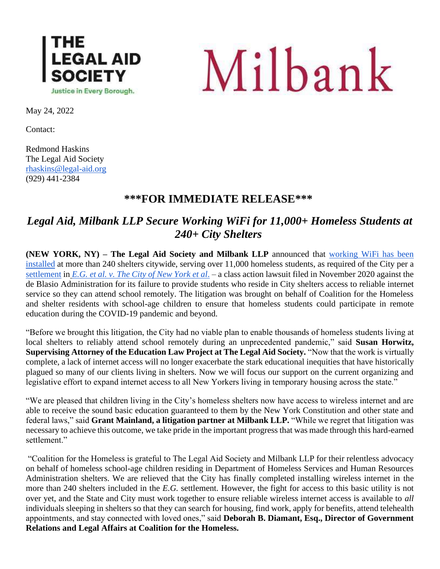



May 24, 2022

Contact:

Redmond Haskins The Legal Aid Society [rhaskins@legal-aid.org](mailto:rhaskins@legal-aid.org) (929) 441-2384

## **\*\*\*FOR IMMEDIATE RELEASE\*\*\***

## *Legal Aid, Milbank LLP Secure Working WiFi for 11,000+ Homeless Students at 240+ City Shelters*

**(NEW YORK, NY) – The Legal Aid Society and Milbank LLP** announced that [working WiFi has been](https://nam10.safelinks.protection.outlook.com/?url=https%3A%2F%2Flegalaidnyc.org%2Fwp-content%2Fuploads%2F2022%2F05%2FStipulation-and-Order-of-Dismissal-with-Prejudice-executed-Legal-12637787_1113337-KB.pdf&data=05%7C01%7CRHaskins%40legal-aid.org%7Cc8316157140d452fa54a08da3cf25aa7%7Cf226ccf384ef49ca9b0a9b565b2f0f06%7C0%7C0%7C637889308836328270%7CUnknown%7CTWFpbGZsb3d8eyJWIjoiMC4wLjAwMDAiLCJQIjoiV2luMzIiLCJBTiI6Ik1haWwiLCJXVCI6Mn0%3D%7C3000%7C%7C%7C&sdata=mDvDuyi43uhR9%2F%2BXdc8JgNJE6Rgwj%2FwK7Gl2I0AnJPQ%3D&reserved=0)  [installed](https://nam10.safelinks.protection.outlook.com/?url=https%3A%2F%2Flegalaidnyc.org%2Fwp-content%2Fuploads%2F2022%2F05%2FStipulation-and-Order-of-Dismissal-with-Prejudice-executed-Legal-12637787_1113337-KB.pdf&data=05%7C01%7CRHaskins%40legal-aid.org%7Cc8316157140d452fa54a08da3cf25aa7%7Cf226ccf384ef49ca9b0a9b565b2f0f06%7C0%7C0%7C637889308836328270%7CUnknown%7CTWFpbGZsb3d8eyJWIjoiMC4wLjAwMDAiLCJQIjoiV2luMzIiLCJBTiI6Ik1haWwiLCJXVCI6Mn0%3D%7C3000%7C%7C%7C&sdata=mDvDuyi43uhR9%2F%2BXdc8JgNJE6Rgwj%2FwK7Gl2I0AnJPQ%3D&reserved=0) at more than 240 shelters citywide, serving over 11,000 homeless students, as required of the City per [a](https://legalaidnyc.org/wp-content/uploads/2021/04/E.G.-et-al-Final-Stipulation-and-Order-of-Settlement-Execution-Copy-....pdf) [settlement](https://legalaidnyc.org/wp-content/uploads/2021/04/E.G.-et-al-Final-Stipulation-and-Order-of-Settlement-Execution-Copy-....pdf) in *[E.G. et al. v. The City of New York et al](https://legalaidnyc.org/wp-content/uploads/2020/11/E.G-v.-City-of-New-York.pdf)*. – a class action lawsuit filed in November 2020 against the de Blasio Administration for its failure to provide students who reside in City shelters access to reliable internet service so they can attend school remotely. The litigation was brought on behalf of Coalition for the Homeless and shelter residents with school-age children to ensure that homeless students could participate in remote education during the COVID-19 pandemic and beyond.

"Before we brought this litigation, the City had no viable plan to enable thousands of homeless students living at local shelters to reliably attend school remotely during an unprecedented pandemic," said Susan Horwitz, **Supervising Attorney of the Education Law Project at The Legal Aid Society.** "Now that the work is virtually complete, a lack of internet access will no longer exacerbate the stark educational inequities that have historically plagued so many of our clients living in shelters. Now we will focus our support on the current organizing and legislative effort to expand internet access to all New Yorkers living in temporary housing across the state."

"We are pleased that children living in the City's homeless shelters now have access to wireless internet and are able to receive the sound basic education guaranteed to them by the New York Constitution and other state and federal laws," said **Grant Mainland, a litigation partner at Milbank LLP.** "While we regret that litigation was necessary to achieve this outcome, we take pride in the important progress that was made through this hard-earned settlement."

"Coalition for the Homeless is grateful to The Legal Aid Society and Milbank LLP for their relentless advocacy on behalf of homeless school-age children residing in Department of Homeless Services and Human Resources Administration shelters. We are relieved that the City has finally completed installing wireless internet in the more than 240 shelters included in the *E.G.* settlement. However, the fight for access to this basic utility is not over yet, and the State and City must work together to ensure reliable wireless internet access is available to *all* individuals sleeping in shelters so that they can search for housing, find work, apply for benefits, attend telehealth appointments, and stay connected with loved ones," said **Deborah B. Diamant, Esq., Director of Government Relations and Legal Affairs at Coalition for the Homeless.**